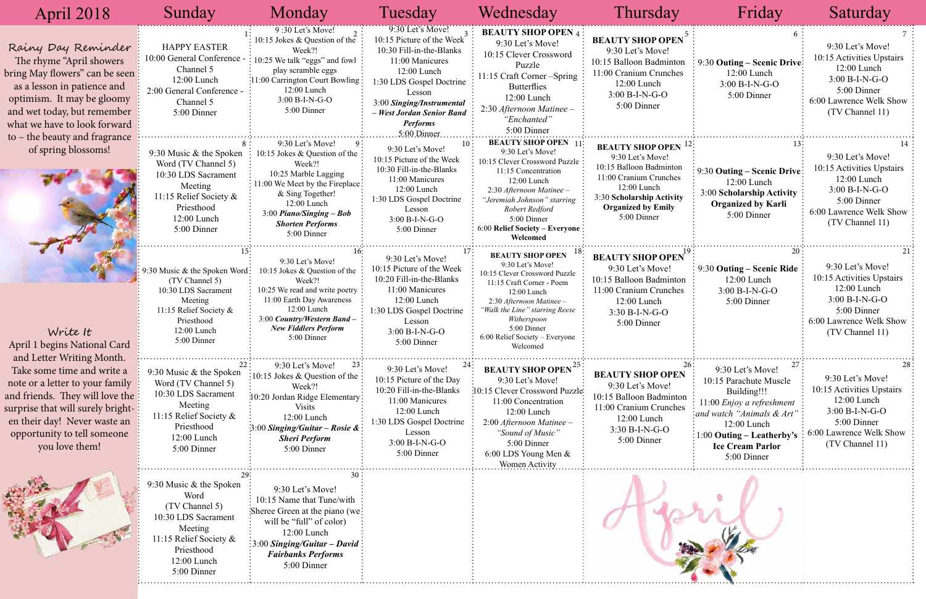| April 2018                                                                                                                                                                                                                                            | Sunday                                                                                                                                                    | Monday                                                                                                                                                                                                                            | Tuesday                                                                                                                                                                                                                                           | Wednesday                                                                                                                                                                                                                                                              | Thursday                                                                                                                                                                                               | Friday                                                                                                                                                                                                       | Saturday                                                                                                                                      |
|-------------------------------------------------------------------------------------------------------------------------------------------------------------------------------------------------------------------------------------------------------|-----------------------------------------------------------------------------------------------------------------------------------------------------------|-----------------------------------------------------------------------------------------------------------------------------------------------------------------------------------------------------------------------------------|---------------------------------------------------------------------------------------------------------------------------------------------------------------------------------------------------------------------------------------------------|------------------------------------------------------------------------------------------------------------------------------------------------------------------------------------------------------------------------------------------------------------------------|--------------------------------------------------------------------------------------------------------------------------------------------------------------------------------------------------------|--------------------------------------------------------------------------------------------------------------------------------------------------------------------------------------------------------------|-----------------------------------------------------------------------------------------------------------------------------------------------|
| Rainy Day Reminder<br>The rhyme "April showers"<br>bring May flowers" can be seen :<br>as a lesson in patience and<br>optimism. It may be gloomy<br>and wet today, but remember<br>what we have to look forward                                       | <b>HAPPY EASTER</b><br>10:00 General Conference<br>Channel 5<br>12:00 Lunch<br>2:00 General Conference -<br>Channel 5<br>5:00 Dinner                      | 9:30 Let's Move!<br>10:15 Jokes & Question of the<br>Week?!<br>10:25 We talk "eggs" and fowl<br>play scramble eggs<br>:11:00 Carrington Court Bowling<br>12:00 Lunch<br>3:00 B-I-N-G-O<br>5:00 Dinner                             | $9:30$ Let's Move!<br>10:15 Picture of the Week<br>10:30 Fill-in-the-Blanks<br>11:00 Manicures<br>12:00 Lunch<br>1:30 LDS Gospel Doctrine<br>Lesson<br>3:00 Singing/Instrumental<br>- West Jordan Senior Band<br><b>Performs</b><br>$5:00$ Dinner | <b>BEAUTY SHOP OPEN 4:</b><br>9:30 Let's Move!<br>10:15 Clever Crossword<br>Puzzle<br>1:15 Craft Corner - Spring<br><b>Butterflies</b><br>12:00 Lunch<br>2:30 Afternoon Matinee -<br>"Enchanted"<br>5:00 Dinner                                                        | <b>BEAUTY SHOP OPEN</b><br>9:30 Let's Move!<br>10:15 Balloon Badminton<br>11:00 Cranium Crunches<br>12:00 Lunch<br>3:00 B-I-N-G-O<br>5:00 Dinner                                                       | 9:30 Outing - Scenic Drive:<br>$12:00$ Lunch<br>$3:00 B-I-N-G-O$<br>5:00 Dinner                                                                                                                              | 9:30 Let's Move!<br>10:15 Activities Upstairs<br>12:00 Lunch<br>$3:00 B-I-N-G-O$<br>5:00 Dinner<br>6:00 Lawrence Welk Show<br>(TV Channel 11) |
| to – the beauty and fragrance<br>of spring blossoms!                                                                                                                                                                                                  | 9:30 Music $&$ the Spoken<br>Word (TV Channel 5)<br>10:30 LDS Sacrament<br>Meeting<br>11:15 Relief Society &<br>Priesthood<br>12:00 Lunch<br>5:00 Dinner  | 9:30 Let's Move!<br>10:15 Jokes & Question of the<br>Week?!<br>10:25 Marble Lagging<br>11:00 We Meet by the Fireplace:<br>& Sing Together!<br>12:00 Lunch<br>$3:00$ Piano/Singing – Bob<br><b>Shorten Performs</b><br>5:00 Dinner | 10 <sup>1</sup><br>9:30 Let's Move!<br>10:15 Picture of the Week<br>10:30 Fill-in-the-Blanks<br>11:00 Manicures<br>12:00 Lunch<br>1:30 LDS Gospel Doctrine<br>Lesson<br>$3:00 B-I-N-G-O$<br>5:00 Dinner                                           | <b>BEAUTY SHOP OPEN</b> 11<br>9:30 Let's Move!<br>10:15 Clever Crossword Puzzle<br>11:15 Concentration<br>12:00 Lunch<br>2:30 Afternoon Matinee -<br>"Jeremiah Johnson" starring<br>Robert Redford<br>5:00 Dinner<br>6:00 Relief Society - Everyone<br>Welcomed        | <b>BEAUTY SHOP OPEN</b> <sup>14</sup><br>9:30 Let's Move!<br>10:15 Balloon Badminton<br>11:00 Cranium Crunches<br>12:00 Lunch<br>3:30 Scholarship Activity<br><b>Organized by Emily</b><br>5:00 Dinner | $\approx 9:30$ Outing – Scenic Drive:<br>$12:00$ Lunch<br>3:00 Scholarship Activity<br><b>Organized by Karli</b><br>5:00 Dinner                                                                              | 9:30 Let's Move!<br>10:15 Activities Upstairs<br>12:00 Lunch<br>3:00 B-I-N-G-O<br>5:00 Dinner<br>6:00 Lawrence Welk Show<br>(TV Channel 11)   |
| Write It<br>April 1 begins National Card                                                                                                                                                                                                              | 9:30 Music & the Spoken Word:<br>(TV Channel 5)<br>10:30 LDS Sacrament<br>Meeting<br>11:15 Relief Society &<br>Priesthood<br>12:00 Lunch<br>5:00 Dinner   | 9:30 Let's Move!<br>10:15 Jokes & Question of the<br>Week?!<br>10:25 We read and write poetry<br>11:00 Earth Day Awareness<br>12:00 Lunch<br>3:00 Country/Western Band -<br><b>New Fiddlers Perform</b><br>5:00 Dinner            | 9:30 Let's Move!<br>10:15 Picture of the Week<br>10:20 Fill-in-the-Blanks<br>11:00 Manicures<br>12:00 Lunch<br>1:30 LDS Gospel Doctrine<br>Lesson<br>$3:00 B-I-N-G-O$<br>5:00 Dinner                                                              | <b>BEAUTY SHOP OPEN</b><br>9:30 Let's Move!<br>10:15 Clever Crossword Puzzle<br>11:15 Craft Corner - Poem<br>12:00 Lunch<br>$2:30$ Afternoon Matinee -<br>"Walk the Line" starring Reese<br>Witherspoon<br>5:00 Dinner<br>$6:00$ Relief Society – Everyone<br>Welcomed | <b>BEAUTY SHOP OPEN</b><br>9:30 Let's Move!<br>10:15 Balloon Badminton<br>11:00 Cranium Crunches<br>12:00 Lunch<br>$3:30 B-I-N-G-O$<br>5:00 Dinner                                                     | 9:30 Outing – Scenic Ride<br>12:00 Lunch<br>$3:00 B-I-N-G-O$<br>5:00 Dinner                                                                                                                                  | 9:30 Let's Move!<br>10:15 Activities Upstairs<br>12:00 Lunch<br>$3:00 B-I-N-G-O$<br>5:00 Dinner<br>6:00 Lawrence Welk Show<br>(TV Channel 11) |
| and Letter Writing Month.<br>Take some time and write a<br>note or a letter to your family<br>and friends. They will love the :<br>surprise that will surely bright-<br>en their day! Never waste an<br>opportunity to tell someone<br>you love them! | 9:30 Music & the Spoken<br>Word (TV Channel 5)<br>10:30 LDS Sacrament<br>Meeting<br>11:15 Relief Society &<br>Priesthood<br>12:00 Lunch<br>5:00 Dinner    | 9:30 Let's Move!<br>23<br>:10:15 Jokes & Question of the :<br>Week?!<br>10:20 Jordan Ridge Elementary:<br><b>Visits</b><br>12:00 Lunch<br>$\cdot$ 3:00 Singing/Guitar – Rosie & $\cdot$<br><b>Sheri Perform</b><br>5:00 Dinner    | 9:30 Let's Move!<br>10:15 Picture of the Day<br>10:20 Fill-in-the-Blanks<br>11:00 Manicures<br>12:00 Lunch<br>1:30 LDS Gospel Doctrine<br>Lesson<br>3:00 B-I-N-G-O<br>5:00 Dinner                                                                 | <b>BEAUTY SHOP OPEN<sup>25</sup></b><br>9:30 Let's Move!<br>10:15 Clever Crossword Puzzle<br>11:00 Concentration<br>12:00 Lunch<br>2:00 Afternoon Matinee -<br>"Sound of Music"<br>5:00 Dinner<br>6:00 LDS Young Men &<br><b>Women Activity</b>                        | <b>BEAUTY SHOP OPEN</b><br>9:30 Let's Move!<br>10:15 Balloon Badminton<br>11:00 Cranium Crunches<br>12:00 Lunch<br>3:30 B-I-N-G-O<br>5:00 Dinner                                                       | 9:30 Let's Move!<br>10:15 Parachute Muscle<br>Building!!!<br>11:00 Enjoy a refreshment<br>and watch "Animals $&$ Art"<br>12:00 Lunch<br>:00 Outing $-$ Leatherby's<br><b>Ice Cream Parlor</b><br>5:00 Dinner | 9:30 Let's Move!<br>10:15 Activities Upstairs<br>12:00 Lunch<br>$3:00 B-I-N-G-O$<br>5:00 Dinner<br>6:00 Lawrence Welk Show<br>(TV Channel 11) |
|                                                                                                                                                                                                                                                       | 9:30 Music & the Spoken<br>Word<br>(TV Channel 5)<br>10:30 LDS Sacrament<br>Meeting<br>11:15 Relief Society &<br>Priesthood<br>12:00 Lunch<br>5:00 Dinner | 9:30 Let's Move!<br>10:15 Name that Tune/with<br>Sheree Green at the piano (we:<br>will be "full" of color)<br>12:00 Lunch<br>$\approx 3.00$ Singing/Guitar - David $\approx$<br><b>Fairbanks Performs</b><br>5:00 Dinner         |                                                                                                                                                                                                                                                   |                                                                                                                                                                                                                                                                        |                                                                                                                                                                                                        |                                                                                                                                                                                                              |                                                                                                                                               |

# Friday Saturday

|   | 6<br>9:30 Outing – Scenic Drive<br>12:00 Lunch<br>3:00 B-I-N-G-O<br>5:00 Dinner                                                                                                                                   | 7<br>9:30 Let's Move!<br>10:15 Activities Upstairs<br>12:00 Lunch<br>$3:00 B-I-N-G-O$<br>5:00 Dinner<br>6:00 Lawrence Welk Show<br>(TV Channel 11)  |
|---|-------------------------------------------------------------------------------------------------------------------------------------------------------------------------------------------------------------------|-----------------------------------------------------------------------------------------------------------------------------------------------------|
|   | 13<br>9:30 Outing – Scenic Drive<br>12:00 Lunch<br>3:00 Scholarship Activity<br><b>Organized by Karli</b><br>5:00 Dinner                                                                                          | 14<br>9:30 Let's Move!<br>10:15 Activities Upstairs<br>12:00 Lunch<br>3:00 B-I-N-G-O<br>5:00 Dinner<br>6:00 Lawrence Welk Show<br>(TV Channel 11)   |
| 9 | 20<br>9:30 Outing – Scenic Ride<br>12:00 Lunch<br>3:00 B-I-N-G-O<br>5:00 Dinner                                                                                                                                   | 21<br>9:30 Let's Move!<br>10:15 Activities Upstairs<br>12:00 Lunch<br>3:00 B-I-N-G-O<br>5:00 Dinner<br>6:00 Lawrence Welk Show<br>(TV Channel 11)   |
|   | 27<br>9:30 Let's Move!<br>10:15 Parachute Muscle<br>Building!!!<br>11:00 Enjoy a refreshment<br>and watch "Animals & Art"<br>12:00 Lunch<br>$1:00$ Outing – Leatherby's<br><b>Ice Cream Parlor</b><br>5:00 Dinner | 28<br>9:30 Let's Move!<br>10:15 Activities Upstairs<br>12:00 Lunch<br>$3:00 B-I-N-G-O$<br>5:00 Dinner<br>6:00 Lawrence Welk Show<br>(TV Channel 11) |
|   |                                                                                                                                                                                                                   |                                                                                                                                                     |